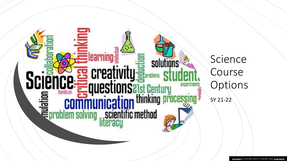

Science Course Options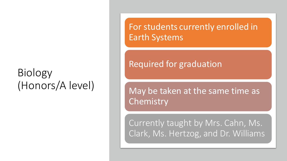## Biology (Honors/A level)

For students currently enrolled in Earth Systems

## Required for graduation

May be taken at the same time as **Chemistry** 

Currently taught by Mrs. Cahn, Ms. Clark, Ms. Hertzog, and Dr. Williams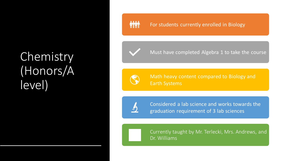## Chemistry (Honors/A level)

### **MM**

#### For students currently enrolled in Biology

Must have completed Algebra 1 to take the course



Math heavy content compared to Biology and Earth Systems



Considered a lab science and works towards the graduation requirement of 3 lab sciences

Currently taught by Mr. Terlecki, Mrs. Andrews, and Dr. Williams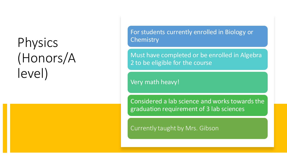# Physics (Honors/A level)

For students currently enrolled in Biology or **Chemistry** 

Must have completed or be enrolled in Algebra 2 to be eligible for the course

Very math heavy!

Considered a lab science and works towards the graduation requirement of 3 lab sciences

Currently taught by Mrs. Gibson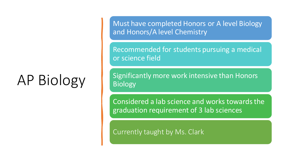# AP Biology

Must have completed Honors or A level Biology and Honors/A level Chemistry

Recommended for students pursuing a medical or science field

Significantly more work intensive than Honors Biology

Considered a lab science and works towards the graduation requirement of 3 lab sciences

Currently taught by Ms. Clark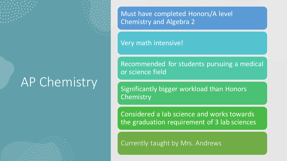## AP Chemistry

Must have completed Honors/A level Chemistry and Algebra 2

Very math intensive!

Recommended for students pursuing a medical or science field

Significantly bigger workload than Honors **Chemistry** 

Considered a lab science and works towards the graduation requirement of 3 lab sciences

Currently taught by Mrs. Andrews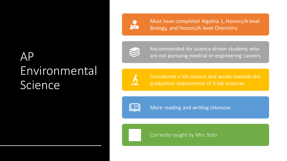## AP Environmental Science



Must have completed Algebra 1, Honors/A level Biology, and Honors/A level Chemistry



Recommended for science driven students who are not pursuing medical or engineering careers



Considered a lab science and works towards the graduation requirement of 3 lab sciences



More reading and writing intensive

Currently taught by Mrs. Soto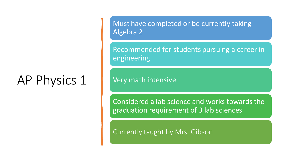# AP Physics 1

Must have completed or be currently taking Algebra 2

Recommended for students pursuing a career in engineering

Very math intensive

Considered a lab science and works towards the graduation requirement of 3 lab sciences

Currently taught by Mrs. Gibson